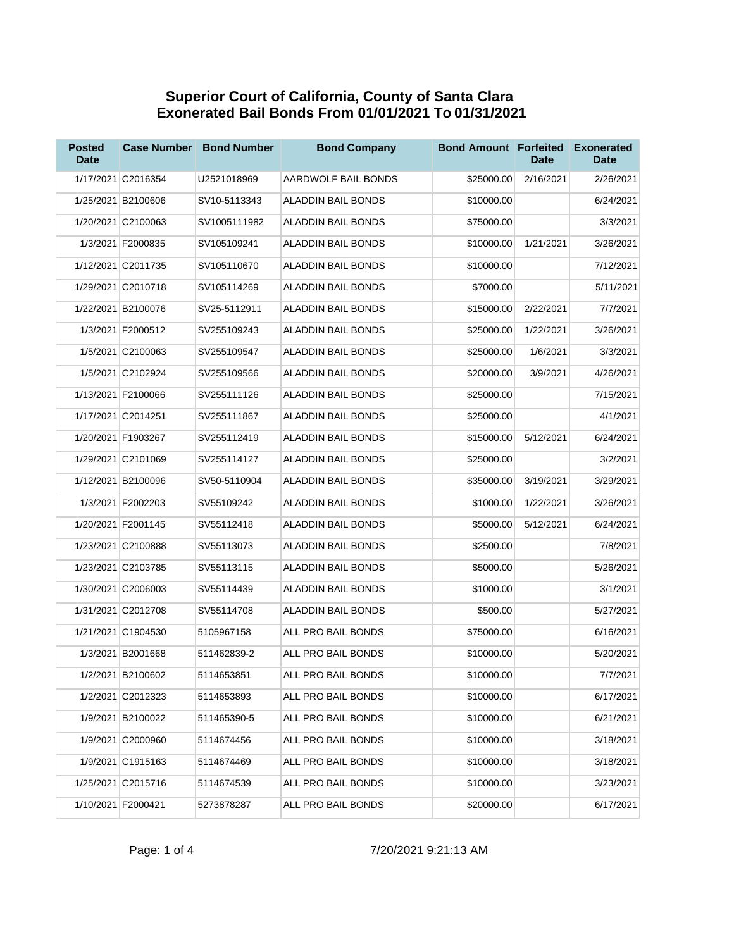## **Superior Court of California, County of Santa Clara Exonerated Bail Bonds From 01/01/2021 To 01/31/2021**

| <b>Posted</b><br><b>Date</b> | <b>Case Number</b> | <b>Bond Number</b> | <b>Bond Company</b>       | <b>Bond Amount Forfeited</b> | Date      | <b>Exonerated</b><br><b>Date</b> |
|------------------------------|--------------------|--------------------|---------------------------|------------------------------|-----------|----------------------------------|
|                              | 1/17/2021 C2016354 | U2521018969        | AARDWOLF BAIL BONDS       | \$25000.00                   | 2/16/2021 | 2/26/2021                        |
|                              | 1/25/2021 B2100606 | SV10-5113343       | <b>ALADDIN BAIL BONDS</b> | \$10000.00                   |           | 6/24/2021                        |
|                              | 1/20/2021 C2100063 | SV1005111982       | ALADDIN BAIL BONDS        | \$75000.00                   |           | 3/3/2021                         |
|                              | 1/3/2021 F2000835  | SV105109241        | ALADDIN BAIL BONDS        | \$10000.00                   | 1/21/2021 | 3/26/2021                        |
|                              | 1/12/2021 C2011735 | SV105110670        | ALADDIN BAIL BONDS        | \$10000.00                   |           | 7/12/2021                        |
|                              | 1/29/2021 C2010718 | SV105114269        | ALADDIN BAIL BONDS        | \$7000.00                    |           | 5/11/2021                        |
|                              | 1/22/2021 B2100076 | SV25-5112911       | ALADDIN BAIL BONDS        | \$15000.00                   | 2/22/2021 | 7/7/2021                         |
|                              | 1/3/2021 F2000512  | SV255109243        | ALADDIN BAIL BONDS        | \$25000.00                   | 1/22/2021 | 3/26/2021                        |
|                              | 1/5/2021 C2100063  | SV255109547        | ALADDIN BAIL BONDS        | \$25000.00                   | 1/6/2021  | 3/3/2021                         |
|                              | 1/5/2021 C2102924  | SV255109566        | <b>ALADDIN BAIL BONDS</b> | \$20000.00                   | 3/9/2021  | 4/26/2021                        |
|                              | 1/13/2021 F2100066 | SV255111126        | ALADDIN BAIL BONDS        | \$25000.00                   |           | 7/15/2021                        |
|                              | 1/17/2021 C2014251 | SV255111867        | ALADDIN BAIL BONDS        | \$25000.00                   |           | 4/1/2021                         |
|                              | 1/20/2021 F1903267 | SV255112419        | ALADDIN BAIL BONDS        | \$15000.00                   | 5/12/2021 | 6/24/2021                        |
|                              | 1/29/2021 C2101069 | SV255114127        | ALADDIN BAIL BONDS        | \$25000.00                   |           | 3/2/2021                         |
|                              | 1/12/2021 B2100096 | SV50-5110904       | <b>ALADDIN BAIL BONDS</b> | \$35000.00                   | 3/19/2021 | 3/29/2021                        |
|                              | 1/3/2021 F2002203  | SV55109242         | ALADDIN BAIL BONDS        | \$1000.00                    | 1/22/2021 | 3/26/2021                        |
|                              | 1/20/2021 F2001145 | SV55112418         | ALADDIN BAIL BONDS        | \$5000.00                    | 5/12/2021 | 6/24/2021                        |
|                              | 1/23/2021 C2100888 | SV55113073         | ALADDIN BAIL BONDS        | \$2500.00                    |           | 7/8/2021                         |
|                              | 1/23/2021 C2103785 | SV55113115         | ALADDIN BAIL BONDS        | \$5000.00                    |           | 5/26/2021                        |
|                              | 1/30/2021 C2006003 | SV55114439         | ALADDIN BAIL BONDS        | \$1000.00                    |           | 3/1/2021                         |
|                              | 1/31/2021 C2012708 | SV55114708         | ALADDIN BAIL BONDS        | \$500.00                     |           | 5/27/2021                        |
|                              | 1/21/2021 C1904530 | 5105967158         | ALL PRO BAIL BONDS        | \$75000.00                   |           | 6/16/2021                        |
|                              | 1/3/2021 B2001668  | 511462839-2        | ALL PRO BAIL BONDS        | \$10000.00                   |           | 5/20/2021                        |
|                              | 1/2/2021 B2100602  | 5114653851         | ALL PRO BAIL BONDS        | \$10000.00                   |           | 7/7/2021                         |
|                              | 1/2/2021 C2012323  | 5114653893         | ALL PRO BAIL BONDS        | \$10000.00                   |           | 6/17/2021                        |
|                              | 1/9/2021 B2100022  | 511465390-5        | ALL PRO BAIL BONDS        | \$10000.00                   |           | 6/21/2021                        |
|                              | 1/9/2021 C2000960  | 5114674456         | ALL PRO BAIL BONDS        | \$10000.00                   |           | 3/18/2021                        |
|                              | 1/9/2021 C1915163  | 5114674469         | ALL PRO BAIL BONDS        | \$10000.00                   |           | 3/18/2021                        |
|                              | 1/25/2021 C2015716 | 5114674539         | ALL PRO BAIL BONDS        | \$10000.00                   |           | 3/23/2021                        |
|                              | 1/10/2021 F2000421 | 5273878287         | ALL PRO BAIL BONDS        | \$20000.00                   |           | 6/17/2021                        |

Page: 1 of 4 7/20/2021 9:21:13 AM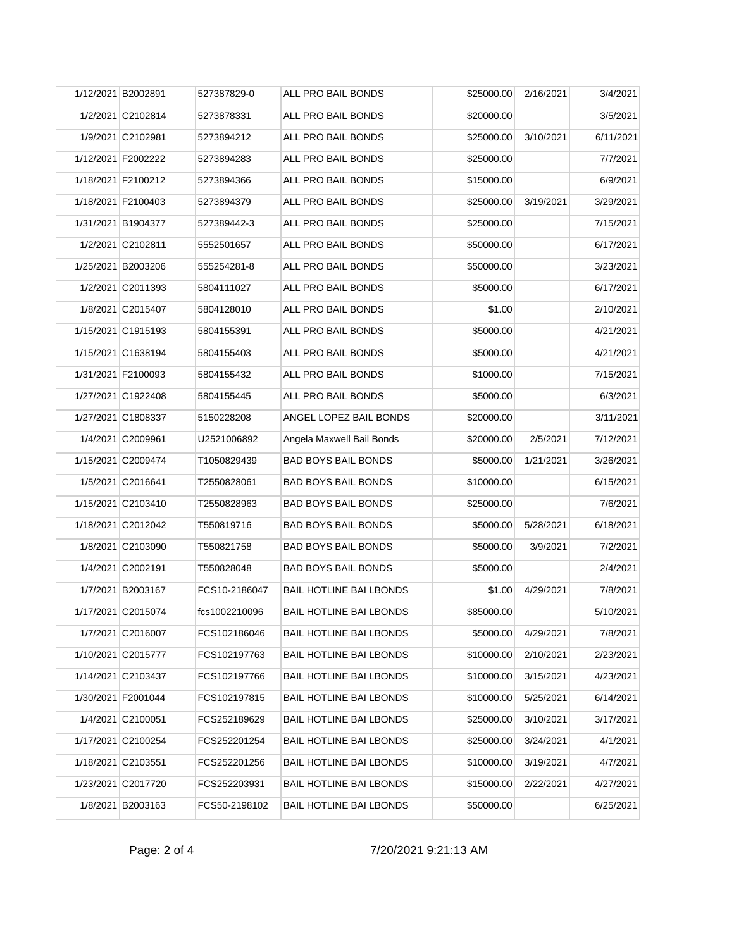| 1/12/2021 B2002891 | 527387829-0   | ALL PRO BAIL BONDS             | \$25000.00 | 2/16/2021 | 3/4/2021  |
|--------------------|---------------|--------------------------------|------------|-----------|-----------|
| 1/2/2021 C2102814  | 5273878331    | ALL PRO BAIL BONDS             | \$20000.00 |           | 3/5/2021  |
| 1/9/2021 C2102981  | 5273894212    | ALL PRO BAIL BONDS             | \$25000.00 | 3/10/2021 | 6/11/2021 |
| 1/12/2021 F2002222 | 5273894283    | ALL PRO BAIL BONDS             | \$25000.00 |           | 7/7/2021  |
| 1/18/2021 F2100212 | 5273894366    | ALL PRO BAIL BONDS             | \$15000.00 |           | 6/9/2021  |
| 1/18/2021 F2100403 | 5273894379    | ALL PRO BAIL BONDS             | \$25000.00 | 3/19/2021 | 3/29/2021 |
| 1/31/2021 B1904377 | 527389442-3   | ALL PRO BAIL BONDS             | \$25000.00 |           | 7/15/2021 |
| 1/2/2021 C2102811  | 5552501657    | ALL PRO BAIL BONDS             | \$50000.00 |           | 6/17/2021 |
| 1/25/2021 B2003206 | 555254281-8   | ALL PRO BAIL BONDS             | \$50000.00 |           | 3/23/2021 |
| 1/2/2021 C2011393  | 5804111027    | ALL PRO BAIL BONDS             | \$5000.00  |           | 6/17/2021 |
| 1/8/2021 C2015407  | 5804128010    | ALL PRO BAIL BONDS             | \$1.00     |           | 2/10/2021 |
| 1/15/2021 C1915193 | 5804155391    | ALL PRO BAIL BONDS             | \$5000.00  |           | 4/21/2021 |
| 1/15/2021 C1638194 | 5804155403    | ALL PRO BAIL BONDS             | \$5000.00  |           | 4/21/2021 |
| 1/31/2021 F2100093 | 5804155432    | ALL PRO BAIL BONDS             | \$1000.00  |           | 7/15/2021 |
| 1/27/2021 C1922408 | 5804155445    | ALL PRO BAIL BONDS             | \$5000.00  |           | 6/3/2021  |
| 1/27/2021 C1808337 | 5150228208    | ANGEL LOPEZ BAIL BONDS         | \$20000.00 |           | 3/11/2021 |
| 1/4/2021 C2009961  | U2521006892   | Angela Maxwell Bail Bonds      | \$20000.00 | 2/5/2021  | 7/12/2021 |
| 1/15/2021 C2009474 | T1050829439   | <b>BAD BOYS BAIL BONDS</b>     | \$5000.00  | 1/21/2021 | 3/26/2021 |
| 1/5/2021 C2016641  | T2550828061   | <b>BAD BOYS BAIL BONDS</b>     | \$10000.00 |           | 6/15/2021 |
| 1/15/2021 C2103410 | T2550828963   | <b>BAD BOYS BAIL BONDS</b>     | \$25000.00 |           | 7/6/2021  |
| 1/18/2021 C2012042 | T550819716    | <b>BAD BOYS BAIL BONDS</b>     | \$5000.00  | 5/28/2021 | 6/18/2021 |
| 1/8/2021 C2103090  | T550821758    | <b>BAD BOYS BAIL BONDS</b>     | \$5000.00  | 3/9/2021  | 7/2/2021  |
| 1/4/2021 C2002191  | T550828048    | <b>BAD BOYS BAIL BONDS</b>     | \$5000.00  |           | 2/4/2021  |
| 1/7/2021 B2003167  | FCS10-2186047 | <b>BAIL HOTLINE BAI LBONDS</b> | \$1.00     | 4/29/2021 | 7/8/2021  |
| 1/17/2021 C2015074 | fcs1002210096 | <b>BAIL HOTLINE BAI LBONDS</b> | \$85000.00 |           | 5/10/2021 |
| 1/7/2021 C2016007  | FCS102186046  | <b>BAIL HOTLINE BAI LBONDS</b> | \$5000.00  | 4/29/2021 | 7/8/2021  |
| 1/10/2021 C2015777 | FCS102197763  | <b>BAIL HOTLINE BAI LBONDS</b> | \$10000.00 | 2/10/2021 | 2/23/2021 |
| 1/14/2021 C2103437 | FCS102197766  | <b>BAIL HOTLINE BAI LBONDS</b> | \$10000.00 | 3/15/2021 | 4/23/2021 |
| 1/30/2021 F2001044 | FCS102197815  | <b>BAIL HOTLINE BAI LBONDS</b> | \$10000.00 | 5/25/2021 | 6/14/2021 |
| 1/4/2021 C2100051  | FCS252189629  | <b>BAIL HOTLINE BAI LBONDS</b> | \$25000.00 | 3/10/2021 | 3/17/2021 |
| 1/17/2021 C2100254 | FCS252201254  | <b>BAIL HOTLINE BAI LBONDS</b> | \$25000.00 | 3/24/2021 | 4/1/2021  |
| 1/18/2021 C2103551 | FCS252201256  | <b>BAIL HOTLINE BAI LBONDS</b> | \$10000.00 | 3/19/2021 | 4/7/2021  |
| 1/23/2021 C2017720 | FCS252203931  | <b>BAIL HOTLINE BAI LBONDS</b> | \$15000.00 | 2/22/2021 | 4/27/2021 |
| 1/8/2021 B2003163  | FCS50-2198102 | BAIL HOTLINE BAI LBONDS        | \$50000.00 |           | 6/25/2021 |

## Page: 2 of 4 7/20/2021 9:21:13 AM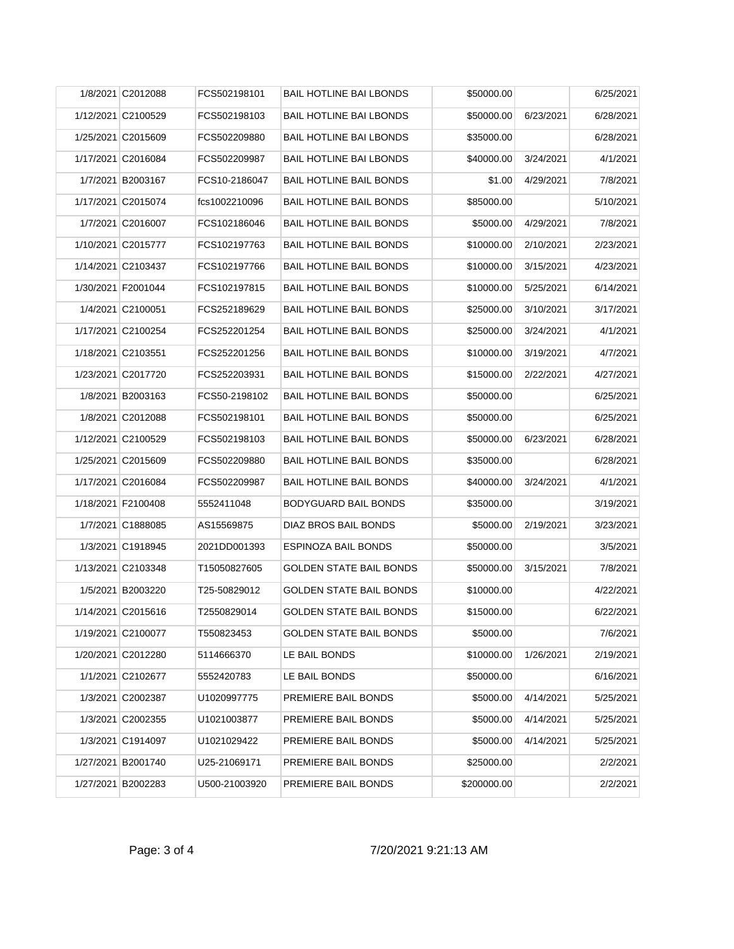|  | 1/8/2021 C2012088  | FCS502198101  | <b>BAIL HOTLINE BAI LBONDS</b> | \$50000.00  |           | 6/25/2021 |
|--|--------------------|---------------|--------------------------------|-------------|-----------|-----------|
|  | 1/12/2021 C2100529 | FCS502198103  | <b>BAIL HOTLINE BAI LBONDS</b> | \$50000.00  | 6/23/2021 | 6/28/2021 |
|  | 1/25/2021 C2015609 | FCS502209880  | <b>BAIL HOTLINE BAI LBONDS</b> | \$35000.00  |           | 6/28/2021 |
|  | 1/17/2021 C2016084 | FCS502209987  | <b>BAIL HOTLINE BAI LBONDS</b> | \$40000.00  | 3/24/2021 | 4/1/2021  |
|  | 1/7/2021 B2003167  | FCS10-2186047 | <b>BAIL HOTLINE BAIL BONDS</b> | \$1.00      | 4/29/2021 | 7/8/2021  |
|  | 1/17/2021 C2015074 | fcs1002210096 | <b>BAIL HOTLINE BAIL BONDS</b> | \$85000.00  |           | 5/10/2021 |
|  | 1/7/2021 C2016007  | FCS102186046  | <b>BAIL HOTLINE BAIL BONDS</b> | \$5000.00   | 4/29/2021 | 7/8/2021  |
|  | 1/10/2021 C2015777 | FCS102197763  | <b>BAIL HOTLINE BAIL BONDS</b> | \$10000.00  | 2/10/2021 | 2/23/2021 |
|  | 1/14/2021 C2103437 | FCS102197766  | <b>BAIL HOTLINE BAIL BONDS</b> | \$10000.00  | 3/15/2021 | 4/23/2021 |
|  | 1/30/2021 F2001044 | FCS102197815  | <b>BAIL HOTLINE BAIL BONDS</b> | \$10000.00  | 5/25/2021 | 6/14/2021 |
|  | 1/4/2021 C2100051  | FCS252189629  | <b>BAIL HOTLINE BAIL BONDS</b> | \$25000.00  | 3/10/2021 | 3/17/2021 |
|  | 1/17/2021 C2100254 | FCS252201254  | <b>BAIL HOTLINE BAIL BONDS</b> | \$25000.00  | 3/24/2021 | 4/1/2021  |
|  | 1/18/2021 C2103551 | FCS252201256  | <b>BAIL HOTLINE BAIL BONDS</b> | \$10000.00  | 3/19/2021 | 4/7/2021  |
|  | 1/23/2021 C2017720 | FCS252203931  | <b>BAIL HOTLINE BAIL BONDS</b> | \$15000.00  | 2/22/2021 | 4/27/2021 |
|  | 1/8/2021 B2003163  | FCS50-2198102 | <b>BAIL HOTLINE BAIL BONDS</b> | \$50000.00  |           | 6/25/2021 |
|  | 1/8/2021 C2012088  | FCS502198101  | <b>BAIL HOTLINE BAIL BONDS</b> | \$50000.00  |           | 6/25/2021 |
|  | 1/12/2021 C2100529 | FCS502198103  | <b>BAIL HOTLINE BAIL BONDS</b> | \$50000.00  | 6/23/2021 | 6/28/2021 |
|  | 1/25/2021 C2015609 | FCS502209880  | <b>BAIL HOTLINE BAIL BONDS</b> | \$35000.00  |           | 6/28/2021 |
|  | 1/17/2021 C2016084 | FCS502209987  | <b>BAIL HOTLINE BAIL BONDS</b> | \$40000.00  | 3/24/2021 | 4/1/2021  |
|  | 1/18/2021 F2100408 | 5552411048    | <b>BODYGUARD BAIL BONDS</b>    | \$35000.00  |           | 3/19/2021 |
|  | 1/7/2021 C1888085  | AS15569875    | DIAZ BROS BAIL BONDS           | \$5000.00   | 2/19/2021 | 3/23/2021 |
|  | 1/3/2021 C1918945  | 2021DD001393  | <b>ESPINOZA BAIL BONDS</b>     | \$50000.00  |           | 3/5/2021  |
|  | 1/13/2021 C2103348 | T15050827605  | <b>GOLDEN STATE BAIL BONDS</b> | \$50000.00  | 3/15/2021 | 7/8/2021  |
|  | 1/5/2021 B2003220  | T25-50829012  | <b>GOLDEN STATE BAIL BONDS</b> | \$10000.00  |           | 4/22/2021 |
|  | 1/14/2021 C2015616 | T2550829014   | GOLDEN STATE BAIL BONDS        | \$15000.00  |           | 6/22/2021 |
|  | 1/19/2021 C2100077 | T550823453    | <b>GOLDEN STATE BAIL BONDS</b> | \$5000.00   |           | 7/6/2021  |
|  | 1/20/2021 C2012280 | 5114666370    | LE BAIL BONDS                  | \$10000.00  | 1/26/2021 | 2/19/2021 |
|  | 1/1/2021 C2102677  | 5552420783    | LE BAIL BONDS                  | \$50000.00  |           | 6/16/2021 |
|  | 1/3/2021 C2002387  | U1020997775   | PREMIERE BAIL BONDS            | \$5000.00   | 4/14/2021 | 5/25/2021 |
|  | 1/3/2021 C2002355  | U1021003877   | PREMIERE BAIL BONDS            | \$5000.00   | 4/14/2021 | 5/25/2021 |
|  | 1/3/2021 C1914097  | U1021029422   | PREMIERE BAIL BONDS            | \$5000.00   | 4/14/2021 | 5/25/2021 |
|  | 1/27/2021 B2001740 | U25-21069171  | PREMIERE BAIL BONDS            | \$25000.00  |           | 2/2/2021  |
|  | 1/27/2021 B2002283 | U500-21003920 | PREMIERE BAIL BONDS            | \$200000.00 |           | 2/2/2021  |
|  |                    |               |                                |             |           |           |